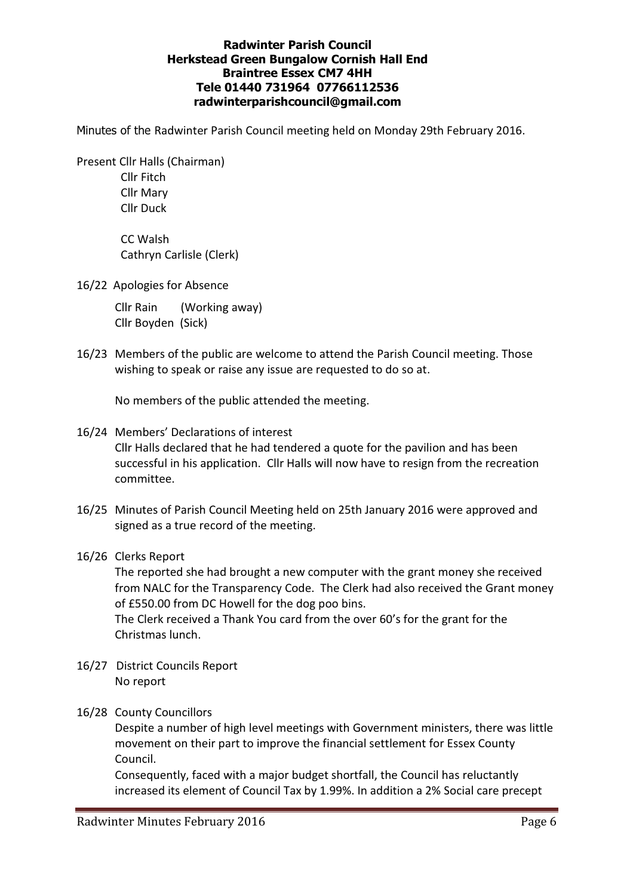### Radwinter Parish Council Herkstead Green Bungalow Cornish Hall End Braintree Essex CM7 4HH Tele 01440 731964 07766112536 radwinterparishcouncil@gmail.com

Minutes of the Radwinter Parish Council meeting held on Monday 29th February 2016.

 Present Cllr Halls (Chairman) Cllr Fitch Cllr Mary Cllr Duck

> CC Walsh Cathryn Carlisle (Clerk)

16/22 Apologies for Absence

 Cllr Rain (Working away) Cllr Boyden (Sick)

16/23 Members of the public are welcome to attend the Parish Council meeting. Those wishing to speak or raise any issue are requested to do so at.

No members of the public attended the meeting.

- 16/24 Members' Declarations of interest Cllr Halls declared that he had tendered a quote for the pavilion and has been successful in his application. Cllr Halls will now have to resign from the recreation committee.
- 16/25 Minutes of Parish Council Meeting held on 25th January 2016 were approved and signed as a true record of the meeting.
- 16/26 Clerks Report

 The reported she had brought a new computer with the grant money she received from NALC for the Transparency Code. The Clerk had also received the Grant money of £550.00 from DC Howell for the dog poo bins. The Clerk received a Thank You card from the over 60's for the grant for the

16/27 District Councils Report No report

Christmas lunch.

16/28 County Councillors

 Despite a number of high level meetings with Government ministers, there was little movement on their part to improve the financial settlement for Essex County Council.

 Consequently, faced with a major budget shortfall, the Council has reluctantly increased its element of Council Tax by 1.99%. In addition a 2% Social care precept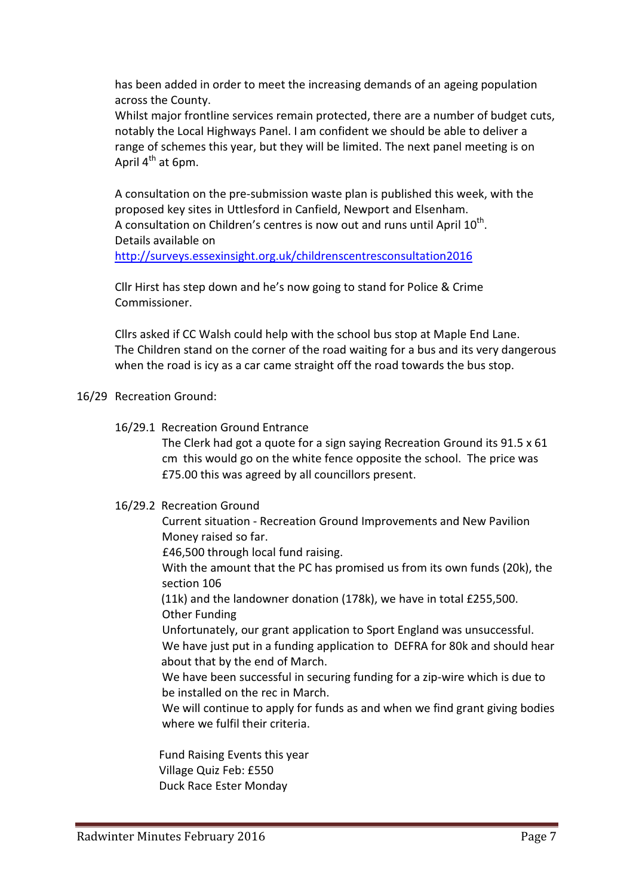has been added in order to meet the increasing demands of an ageing population across the County.

 Whilst major frontline services remain protected, there are a number of budget cuts, notably the Local Highways Panel. I am confident we should be able to deliver a range of schemes this year, but they will be limited. The next panel meeting is on April  $4^{th}$  at 6pm.

 A consultation on the pre-submission waste plan is published this week, with the proposed key sites in Uttlesford in Canfield, Newport and Elsenham. A consultation on Children's centres is now out and runs until April  $10<sup>th</sup>$ . Details available on http://surveys.essexinsight.org.uk/childrenscentresconsultation2016

Cllr Hirst has step down and he's now going to stand for Police & Crime Commissioner.

 Cllrs asked if CC Walsh could help with the school bus stop at Maple End Lane. The Children stand on the corner of the road waiting for a bus and its very dangerous when the road is icy as a car came straight off the road towards the bus stop.

## 16/29 Recreation Ground:

## 16/29.1 Recreation Ground Entrance

 The Clerk had got a quote for a sign saying Recreation Ground its 91.5 x 61 cm this would go on the white fence opposite the school. The price was £75.00 this was agreed by all councillors present.

## 16/29.2 Recreation Ground

 Current situation - Recreation Ground Improvements and New Pavilion Money raised so far.

£46,500 through local fund raising.

 With the amount that the PC has promised us from its own funds (20k), the section 106

 (11k) and the landowner donation (178k), we have in total £255,500. Other Funding

 Unfortunately, our grant application to Sport England was unsuccessful. We have just put in a funding application to DEFRA for 80k and should hear about that by the end of March.

 We have been successful in securing funding for a zip-wire which is due to be installed on the rec in March.

 We will continue to apply for funds as and when we find grant giving bodies where we fulfil their criteria.

 Fund Raising Events this year Village Quiz Feb: £550 Duck Race Ester Monday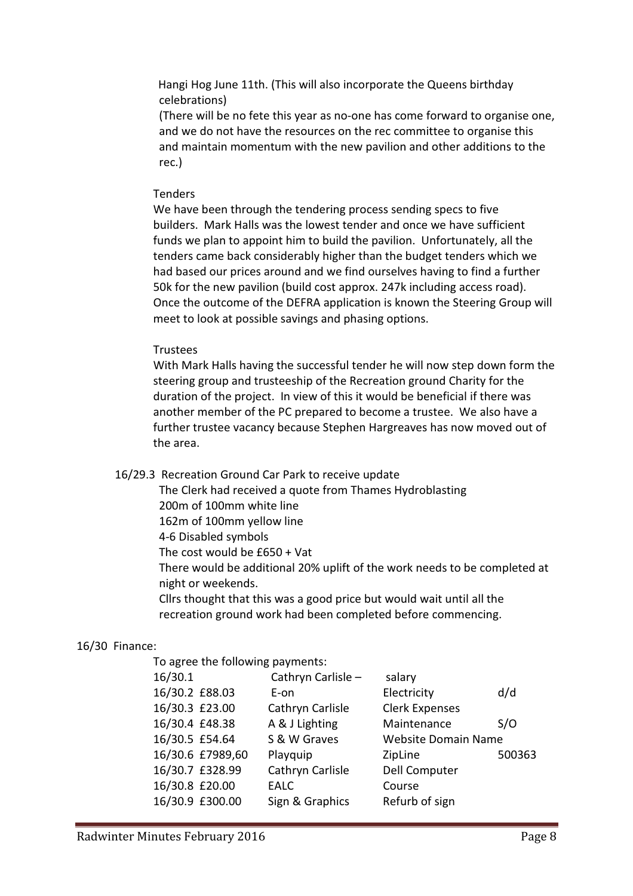Hangi Hog June 11th. (This will also incorporate the Queens birthday celebrations)

 (There will be no fete this year as no-one has come forward to organise one, and we do not have the resources on the rec committee to organise this and maintain momentum with the new pavilion and other additions to the rec.)

### Tenders

 We have been through the tendering process sending specs to five builders. Mark Halls was the lowest tender and once we have sufficient funds we plan to appoint him to build the pavilion. Unfortunately, all the tenders came back considerably higher than the budget tenders which we had based our prices around and we find ourselves having to find a further 50k for the new pavilion (build cost approx. 247k including access road). Once the outcome of the DEFRA application is known the Steering Group will meet to look at possible savings and phasing options.

### Trustees

 With Mark Halls having the successful tender he will now step down form the steering group and trusteeship of the Recreation ground Charity for the duration of the project. In view of this it would be beneficial if there was another member of the PC prepared to become a trustee. We also have a further trustee vacancy because Stephen Hargreaves has now moved out of the area.

### 16/29.3 Recreation Ground Car Park to receive update

The Clerk had received a quote from Thames Hydroblasting

200m of 100mm white line

162m of 100mm yellow line

4-6 Disabled symbols

The cost would be £650 + Vat

 There would be additional 20% uplift of the work needs to be completed at night or weekends.

 Cllrs thought that this was a good price but would wait until all the recreation ground work had been completed before commencing.

### 16/30 Finance:

To agree the following payments:

| 16/30.1          | Cathryn Carlisle - | salary                     |        |
|------------------|--------------------|----------------------------|--------|
| 16/30.2 £88.03   | E-on               | Electricity                | d/d    |
| 16/30.3 £23.00   | Cathryn Carlisle   | <b>Clerk Expenses</b>      |        |
| 16/30.4 £48.38   | A & J Lighting     | Maintenance                | S/O    |
| 16/30.5 £54.64   | S & W Graves       | <b>Website Domain Name</b> |        |
| 16/30.6 £7989,60 | Playquip           | ZipLine                    | 500363 |
| 16/30.7 £328.99  | Cathryn Carlisle   | <b>Dell Computer</b>       |        |
| 16/30.8 £20.00   | <b>EALC</b>        | Course                     |        |
| 16/30.9 £300.00  | Sign & Graphics    | Refurb of sign             |        |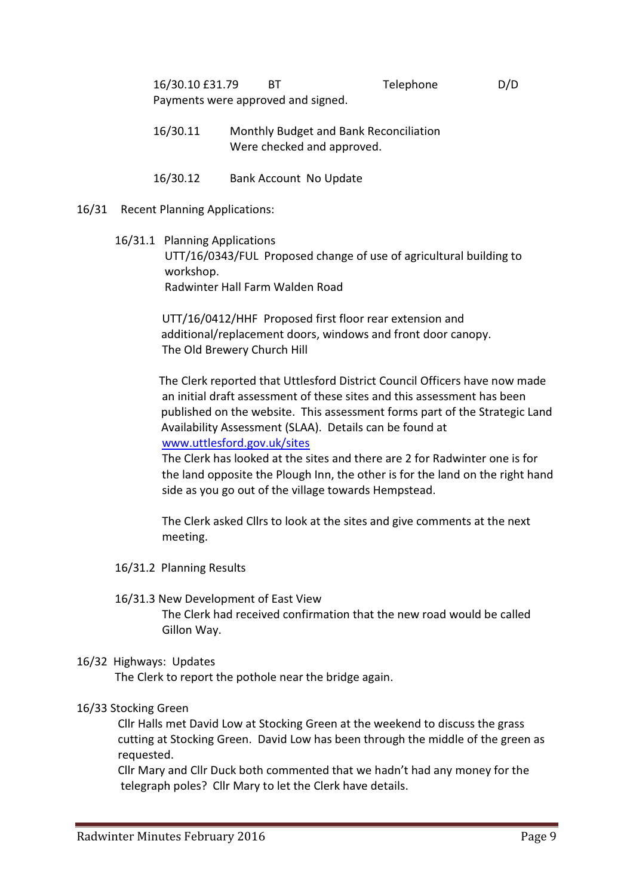16/30.10 £31.79 BT Telephone D/D Payments were approved and signed.

- 16/30.11 Monthly Budget and Bank Reconciliation Were checked and approved.
- 16/30.12 Bank Account No Update
- 16/31 Recent Planning Applications:
	- 16/31.1 Planning Applications UTT/16/0343/FUL Proposed change of use of agricultural building to workshop. Radwinter Hall Farm Walden Road

 UTT/16/0412/HHF Proposed first floor rear extension and additional/replacement doors, windows and front door canopy. The Old Brewery Church Hill

 The Clerk reported that Uttlesford District Council Officers have now made an initial draft assessment of these sites and this assessment has been published on the website. This assessment forms part of the Strategic Land Availability Assessment (SLAA). Details can be found at www.uttlesford.gov.uk/sites

 The Clerk has looked at the sites and there are 2 for Radwinter one is for the land opposite the Plough Inn, the other is for the land on the right hand side as you go out of the village towards Hempstead.

 The Clerk asked Cllrs to look at the sites and give comments at the next meeting.

16/31.2 Planning Results

# 16/31.3 New Development of East View The Clerk had received confirmation that the new road would be called Gillon Way.

## 16/32 Highways: Updates

The Clerk to report the pothole near the bridge again.

## 16/33 Stocking Green

 Cllr Halls met David Low at Stocking Green at the weekend to discuss the grass cutting at Stocking Green. David Low has been through the middle of the green as requested.

 Cllr Mary and Cllr Duck both commented that we hadn't had any money for the telegraph poles? Cllr Mary to let the Clerk have details.